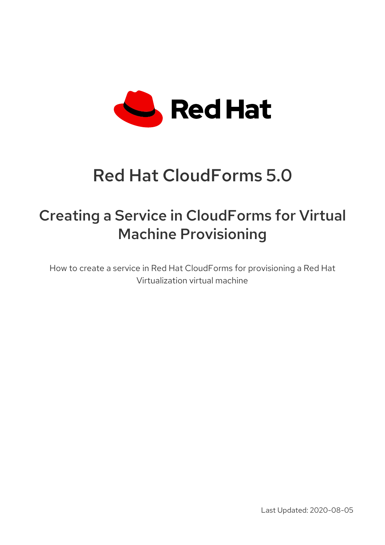

# Red Hat CloudForms 5.0

# Creating a Service in CloudForms for Virtual Machine Provisioning

How to create a service in Red Hat CloudForms for provisioning a Red Hat Virtualization virtual machine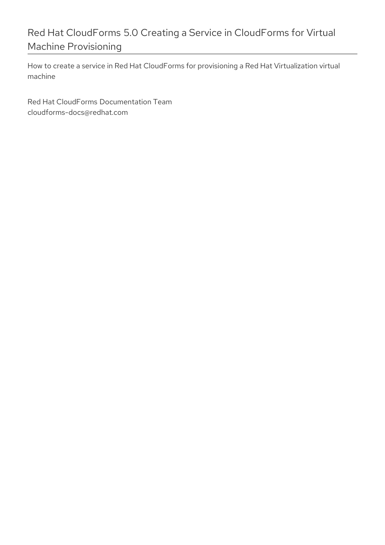## Red Hat CloudForms 5.0 Creating a Service in CloudForms for Virtual Machine Provisioning

How to create a service in Red Hat CloudForms for provisioning a Red Hat Virtualization virtual machine

Red Hat CloudForms Documentation Team cloudforms-docs@redhat.com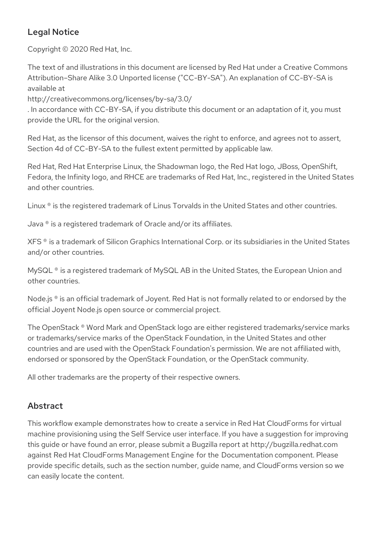### Legal Notice

Copyright © 2020 Red Hat, Inc.

The text of and illustrations in this document are licensed by Red Hat under a Creative Commons Attribution–Share Alike 3.0 Unported license ("CC-BY-SA"). An explanation of CC-BY-SA is available at

http://creativecommons.org/licenses/by-sa/3.0/

. In accordance with CC-BY-SA, if you distribute this document or an adaptation of it, you must provide the URL for the original version.

Red Hat, as the licensor of this document, waives the right to enforce, and agrees not to assert, Section 4d of CC-BY-SA to the fullest extent permitted by applicable law.

Red Hat, Red Hat Enterprise Linux, the Shadowman logo, the Red Hat logo, JBoss, OpenShift, Fedora, the Infinity logo, and RHCE are trademarks of Red Hat, Inc., registered in the United States and other countries.

Linux ® is the registered trademark of Linus Torvalds in the United States and other countries.

Java ® is a registered trademark of Oracle and/or its affiliates.

XFS ® is a trademark of Silicon Graphics International Corp. or its subsidiaries in the United States and/or other countries.

MySQL<sup>®</sup> is a registered trademark of MySQL AB in the United States, the European Union and other countries.

Node.js ® is an official trademark of Joyent. Red Hat is not formally related to or endorsed by the official Joyent Node.js open source or commercial project.

The OpenStack ® Word Mark and OpenStack logo are either registered trademarks/service marks or trademarks/service marks of the OpenStack Foundation, in the United States and other countries and are used with the OpenStack Foundation's permission. We are not affiliated with, endorsed or sponsored by the OpenStack Foundation, or the OpenStack community.

All other trademarks are the property of their respective owners.

#### Abstract

This workflow example demonstrates how to create a service in Red Hat CloudForms for virtual machine provisioning using the Self Service user interface. If you have a suggestion for improving this guide or have found an error, please submit a Bugzilla report at http://bugzilla.redhat.com against Red Hat CloudForms Management Engine for the Documentation component. Please provide specific details, such as the section number, guide name, and CloudForms version so we can easily locate the content.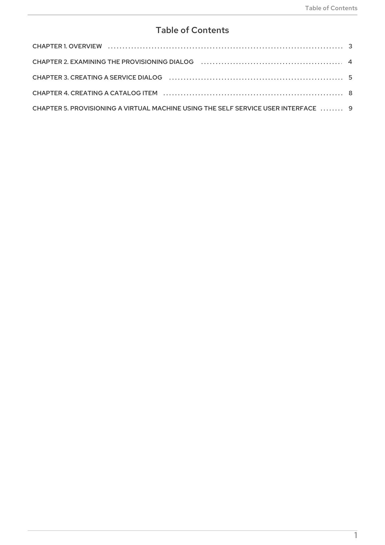### **Table of Contents**

| CHAPTER 3. CREATING A SERVICE DIALOG (additional contract and chapter 3. CREATING A SERVICE DIALOG (additional contract and contract and chapter 3. |  |
|-----------------------------------------------------------------------------------------------------------------------------------------------------|--|
|                                                                                                                                                     |  |
| CHAPTER 5. PROVISIONING A VIRTUAL MACHINE USING THE SELF SERVICE USER INTERFACE  9                                                                  |  |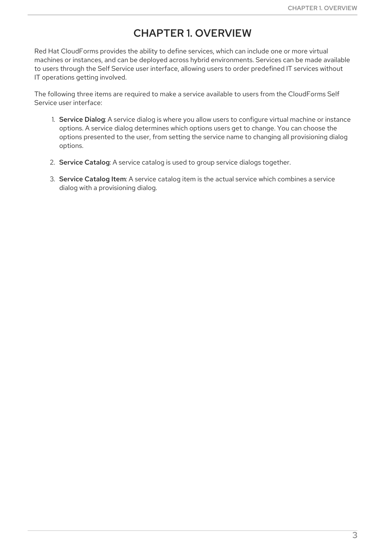### CHAPTER 1. OVERVIEW

<span id="page-6-0"></span>Red Hat CloudForms provides the ability to define services, which can include one or more virtual machines or instances, and can be deployed across hybrid environments. Services can be made available to users through the Self Service user interface, allowing users to order predefined IT services without IT operations getting involved.

The following three items are required to make a service available to users from the CloudForms Self Service user interface:

- 1. Service Dialog: A service dialog is where you allow users to configure virtual machine or instance options. A service dialog determines which options users get to change. You can choose the options presented to the user, from setting the service name to changing all provisioning dialog options.
- 2. Service Catalog: A service catalog is used to group service dialogs together.
- 3. Service Catalog Item: A service catalog item is the actual service which combines a service dialog with a provisioning dialog.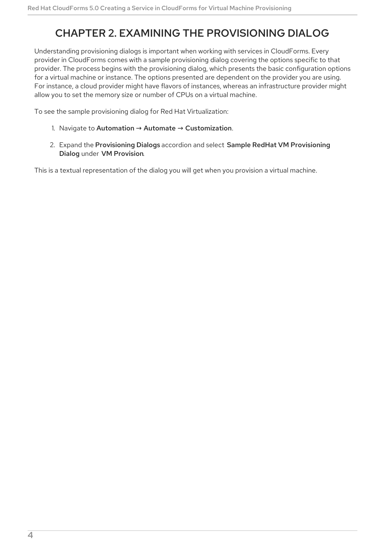## <span id="page-7-0"></span>CHAPTER 2. EXAMINING THE PROVISIONING DIALOG

Understanding provisioning dialogs is important when working with services in CloudForms. Every provider in CloudForms comes with a sample provisioning dialog covering the options specific to that provider. The process begins with the provisioning dialog, which presents the basic configuration options for a virtual machine or instance. The options presented are dependent on the provider you are using. For instance, a cloud provider might have flavors of instances, whereas an infrastructure provider might allow you to set the memory size or number of CPUs on a virtual machine.

To see the sample provisioning dialog for Red Hat Virtualization:

- 1. Navigate to Automation  $→$  Automate  $→$  Customization.
- 2. Expand the Provisioning Dialogs accordion and select Sample RedHat VM Provisioning Dialog under VM Provision.

This is a textual representation of the dialog you will get when you provision a virtual machine.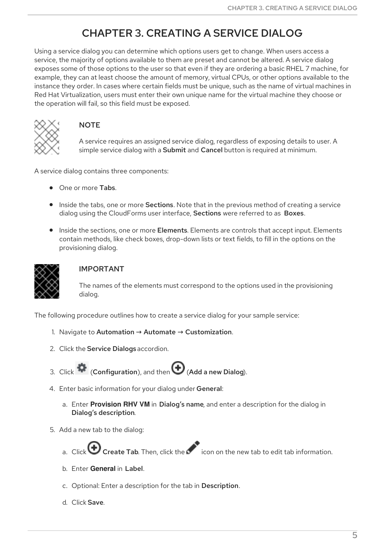# CHAPTER 3. CREATING A SERVICE DIALOG

<span id="page-8-0"></span>Using a service dialog you can determine which options users get to change. When users access a service, the majority of options available to them are preset and cannot be altered. A service dialog exposes some of those options to the user so that even if they are ordering a basic RHEL 7 machine, for example, they can at least choose the amount of memory, virtual CPUs, or other options available to the instance they order. In cases where certain fields must be unique, such as the name of virtual machines in Red Hat Virtualization, users must enter their own unique name for the virtual machine they choose or the operation will fail, so this field must be exposed.



#### **NOTE**

A service requires an assigned service dialog, regardless of exposing details to user. A simple service dialog with a Submit and Cancel button is required at minimum.

A service dialog contains three components:

- One or more Tabs.
- Inside the tabs, one or more **Sections**. Note that in the previous method of creating a service dialog using the CloudForms user interface, Sections were referred to as Boxes.
- Inside the sections, one or more Elements. Elements are controls that accept input. Elements contain methods, like check boxes, drop-down lists or text fields, to fill in the options on the provisioning dialog.



#### IMPORTANT

The names of the elements must correspond to the options used in the provisioning dialog.

The following procedure outlines how to create a service dialog for your sample service:

- 1. Navigate to Automation  $→$  Automate  $→$  Customization.
- 2. Click the Service Dialogs accordion.



3. Click  $\bullet$  (Configuration), and then  $\bullet$  (Add a new Dialog).

- 4. Enter basic information for your dialog under General:
	- a. Enter **Provision RHV VM** in Dialog's name, and enter a description for the dialog in Dialog's description.
- 5. Add a new tab to the dialog:

a. Click  $\bigoplus$  Create Tab. Then, click the interval icon on the new tab to edit tab information.

- b. Enter **General** in Label.
- c. Optional: Enter a description for the tab in Description.
- d. Click Save.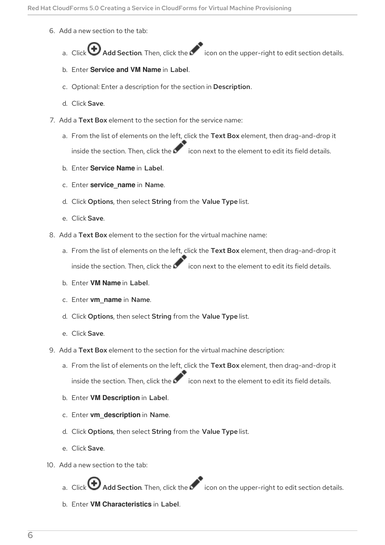- 6. Add a new section to the tab:
	- a. Click  $\bigoplus$  Add Section. Then, click the intervalsion on the upper-right to edit section details.
	- b. Enter **Service and VM Name** in Label.
	- c. Optional: Enter a description for the section in Description.
	- d. Click Save.
- 7. Add a Text Box element to the section for the service name:
	- a. From the list of elements on the left, click the Text Box element, then drag-and-drop it inside the section. Then, click the  $\sim$  icon next to the element to edit its field details.
	- b. Enter **Service Name** in Label.
	- c. Enter **service\_name** in Name.
	- d. Click Options, then select String from the Value Type list.
	- e. Click Save.
- 8. Add a Text Box element to the section for the virtual machine name:
	- a. From the list of elements on the left, click the Text Box element, then drag-and-drop it inside the section. Then, click the  $\sim$  icon next to the element to edit its field details.
	- b. Enter **VM Name** in Label.
	- c. Enter **vm\_name** in Name.
	- d. Click Options, then select String from the Value Type list.
	- e. Click Save.
- 9. Add a Text Box element to the section for the virtual machine description:
	- a. From the list of elements on the left, click the Text Box element, then drag-and-drop it inside the section. Then, click the interest to the element to edit its field details.
	- b. Enter **VM Description** in Label.
	- c. Enter **vm\_description** in Name.
	- d. Click Options, then select String from the Value Type list.
	- e. Click Save.
- 10. Add a new section to the tab:
	- a. Click  $\bigoplus$  Add Section. Then, click the intervalsion on the upper-right to edit section details.

b. Enter **VM Characteristics** in Label.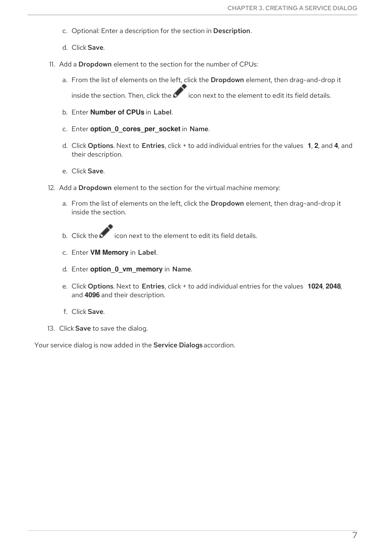- c. Optional: Enter a description for the section in Description.
- d. Click Save.
- 11. Add a Dropdown element to the section for the number of CPUs:
	- a. From the list of elements on the left, click the Dropdown element, then drag-and-drop it inside the section. Then, click the  $\sim$  icon next to the element to edit its field details.
	- b. Enter **Number of CPUs** in Label.
	- c. Enter **option\_0\_cores\_per\_socket** in Name.
	- d. Click Options. Next to Entries, click + to add individual entries for the values **1**, **2**, and **4**, and their description.
	- e. Click Save.
- 12. Add a Dropdown element to the section for the virtual machine memory:
	- a. From the list of elements on the left, click the Dropdown element, then drag-and-drop it inside the section.
	- b. Click the **interpret is contracted** to the element to edit its field details.
	- c. Enter **VM Memory** in Label.
	- d. Enter **option\_0\_vm\_memory** in Name.
	- e. Click Options. Next to Entries, click + to add individual entries for the values **1024**, **2048**, and **4096** and their description.
	- f. Click Save.
- 13. Click Save to save the dialog.

Your service dialog is now added in the Service Dialogs accordion.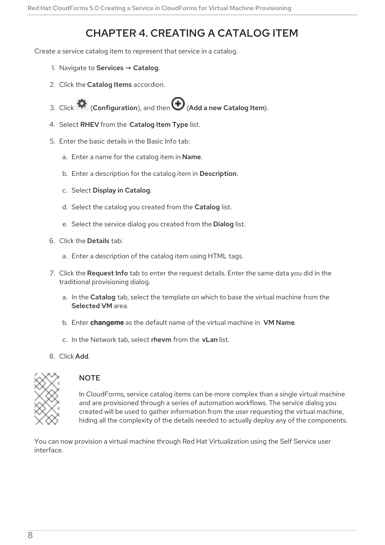# CHAPTER 4. CREATING A CATALOG ITEM

<span id="page-11-0"></span>Create a service catalog item to represent that service in a catalog.

- 1. Navigate to Services  $\rightarrow$  Catalog.
- 2. Click the Catalog Items accordion.
- 3. Click  $\bullet$  (Configuration), and then  $\bullet$  (Add a new Catalog Item).
- 4. Select RHEV from the Catalog Item Type list.
- 5. Enter the basic details in the Basic Info tab:
	- a. Enter a name for the catalog item in Name.
	- b. Enter a description for the catalog item in Description.
	- c. Select Display in Catalog.
	- d. Select the catalog you created from the Catalog list.
	- e. Select the service dialog you created from the Dialog list.
- 6. Click the Details tab:
	- a. Enter a description of the catalog item using HTML tags.
- 7. Click the Request Info tab to enter the request details. Enter the same data you did in the traditional provisioning dialog.
	- a. In the Catalog tab, select the template on which to base the virtual machine from the Selected VM area.
	- b. Enter **changeme** as the default name of the virtual machine in VM Name.
	- c. In the Network tab, select rhevm from the vLan list.
- 8. Click Add.



#### **NOTE**

In CloudForms, service catalog items can be more complex than a single virtual machine and are provisioned through a series of automation workflows. The service dialog you created will be used to gather information from the user requesting the virtual machine, hiding all the complexity of the details needed to actually deploy any of the components.

You can now provision a virtual machine through Red Hat Virtualization using the Self Service user interface.